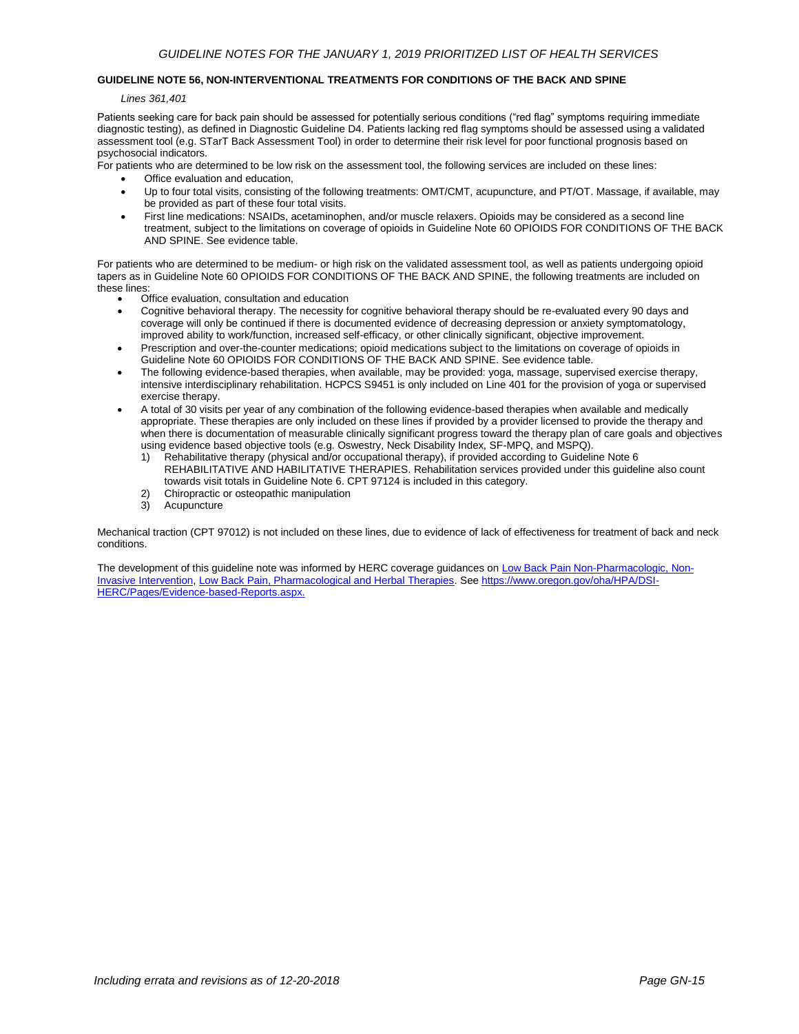## **GUIDELINE NOTE 56, NON-INTERVENTIONAL TREATMENTS FOR CONDITIONS OF THE BACK AND SPINE**

*Lines 361,401*

Patients seeking care for back pain should be assessed for potentially serious conditions ("red flag" symptoms requiring immediate diagnostic testing), as defined in Diagnostic Guideline D4. Patients lacking red flag symptoms should be assessed using a validated assessment tool (e.g. STarT Back Assessment Tool) in order to determine their risk level for poor functional prognosis based on psychosocial indicators.

For patients who are determined to be low risk on the assessment tool, the following services are included on these lines:

- Office evaluation and education,
- Up to four total visits, consisting of the following treatments: OMT/CMT, acupuncture, and PT/OT. Massage, if available, may be provided as part of these four total visits.
- First line medications: NSAIDs, acetaminophen, and/or muscle relaxers. Opioids may be considered as a second line treatment, subject to the limitations on coverage of opioids in Guideline Note 60 OPIOIDS FOR CONDITIONS OF THE BACK AND SPINE. See evidence table.

For patients who are determined to be medium- or high risk on the validated assessment tool, as well as patients undergoing opioid tapers as in Guideline Note 60 OPIOIDS FOR CONDITIONS OF THE BACK AND SPINE, the following treatments are included on these lines:

- Office evaluation, consultation and education
- Cognitive behavioral therapy. The necessity for cognitive behavioral therapy should be re-evaluated every 90 days and coverage will only be continued if there is documented evidence of decreasing depression or anxiety symptomatology, improved ability to work/function, increased self-efficacy, or other clinically significant, objective improvement.
- Prescription and over-the-counter medications; opioid medications subject to the limitations on coverage of opioids in Guideline Note 60 OPIOIDS FOR CONDITIONS OF THE BACK AND SPINE. See evidence table.
- The following evidence-based therapies, when available, may be provided: yoga, massage, supervised exercise therapy, intensive interdisciplinary rehabilitation. HCPCS S9451 is only included on Line 401 for the provision of yoga or supervised exercise therapy.
- A total of 30 visits per year of any combination of the following evidence-based therapies when available and medically appropriate. These therapies are only included on these lines if provided by a provider licensed to provide the therapy and when there is documentation of measurable clinically significant progress toward the therapy plan of care goals and objectives using evidence based objective tools (e.g. Oswestry, Neck Disability Index, SF-MPQ, and MSPQ).
	- 1) Rehabilitative therapy (physical and/or occupational therapy), if provided according to Guideline Note 6 REHABILITATIVE AND HABILITATIVE THERAPIES. Rehabilitation services provided under this guideline also count towards visit totals in Guideline Note 6. CPT 97124 is included in this category.
	- 2) Chiropractic or osteopathic manipulation
	- 3) Acupuncture

Mechanical traction (CPT 97012) is not included on these lines, due to evidence of lack of effectiveness for treatment of back and neck conditions.

The development of this guideline note was informed by HERC coverage guidances on Low Back Pain Non-Pharmacologic, Non-Invasive Intervention, Low Back Pain, Pharmacological and Herbal Therapies. See https://www.oregon.gov/oha/HPA/DSI-HERC/Pages/Evidence-based-Reports.aspx.